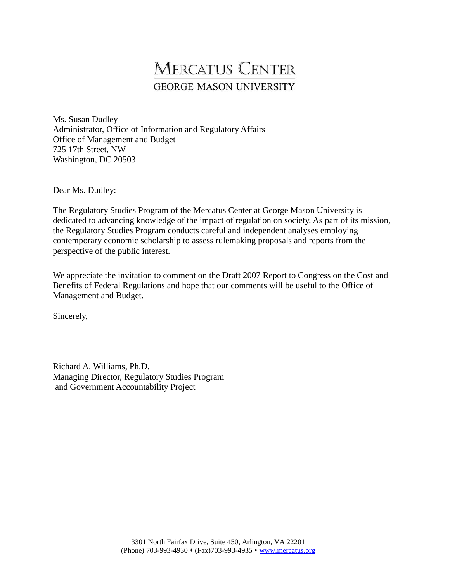# **MERCATUS CENTER GEORGE MASON UNIVERSITY**

 Ms. Susan Dudley Administrator, Office of Information and Regulatory Affairs Office of Management and Budget 725 17th Street, NW Washington, DC 20503

Dear Ms. Dudley:

 The Regulatory Studies Program of the Mercatus Center at George Mason University is dedicated to advancing knowledge of the impact of regulation on society. As part of its mission, the Regulatory Studies Program conducts careful and independent analyses employing contemporary economic scholarship to assess rulemaking proposals and reports from the perspective of the public interest.

 We appreciate the invitation to comment on the Draft 2007 Report to Congress on the Cost and Benefits of Federal Regulations and hope that our comments will be useful to the Office of Management and Budget.

Sincerely,

 Richard A. Williams, Ph.D. Managing Director, Regulatory Studies Program and Government Accountability Project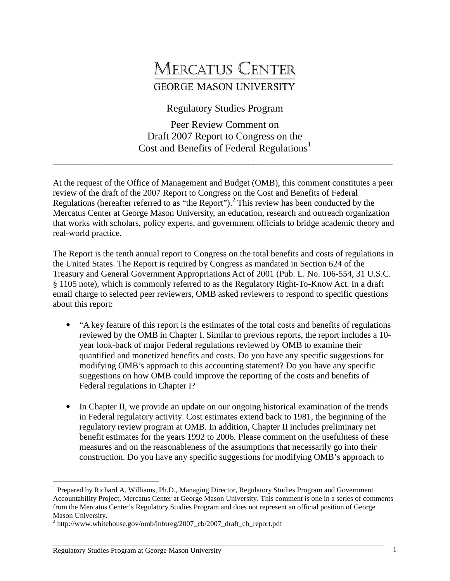# **MERCATUS CENTER GEORGE MASON UNIVERSITY**

Regulatory Studies Program

 Peer Review Comment on Draft 2007 Report to Congress on the Cost and Benefits of Federal Regulations<sup>1</sup>

\_\_\_\_\_\_\_\_\_\_\_\_\_\_\_\_\_\_\_\_\_\_\_\_\_\_\_\_\_\_\_\_\_\_\_\_\_\_\_\_\_\_\_\_\_\_\_\_\_\_\_\_\_\_\_\_\_\_\_\_\_\_\_\_\_\_

 At the request of the Office of Management and Budget (OMB), this comment constitutes a peer review of the draft of the 2007 Report to Congress on the Cost and Benefits of Federal Regulations (hereafter referred to as "the Report").<sup>2</sup> This review has been conducted by the Mercatus Center at George Mason University, an education, research and outreach organization that works with scholars, policy experts, and government officials to bridge academic theory and real-world practice.

 The Report is the tenth annual report to Congress on the total benefits and costs of regulations in the United States. The Report is required by Congress as mandated in Section 624 of the Treasury and General Government Appropriations Act of 2001 (Pub. L. No. 106-554, 31 U.S.C. § 1105 note), which is commonly referred to as the Regulatory Right-To-Know Act. In a draft email charge to selected peer reviewers, OMB asked reviewers to respond to specific questions about this report:

- "A key feature of this report is the estimates of the total costs and benefits of regulations reviewed by the OMB in Chapter I. Similar to previous reports, the report includes a 10 year look-back of major Federal regulations reviewed by OMB to examine their quantified and monetized benefits and costs. Do you have any specific suggestions for modifying OMB's approach to this accounting statement? Do you have any specific suggestions on how OMB could improve the reporting of the costs and benefits of Federal regulations in Chapter I?
- In Chapter II, we provide an update on our ongoing historical examination of the trends in Federal regulatory activity. Cost estimates extend back to 1981, the beginning of the regulatory review program at OMB. In addition, Chapter II includes preliminary net benefit estimates for the years 1992 to 2006. Please comment on the usefulness of these measures and on the reasonableness of the assumptions that necessarily go into their construction. Do you have any specific suggestions for modifying OMB's approach to

-

<sup>&</sup>lt;sup>1</sup> Prepared by Richard A. Williams, Ph.D., Managing Director, Regulatory Studies Program and Government Accountability Project, Mercatus Center at George Mason University. This comment is one in a series of comments from the Mercatus Center's Regulatory Studies Program and does not represent an official position of George Mason University.

<sup>&</sup>lt;sup>2</sup> http://www.whitehouse.gov/omb/inforeg/2007\_cb/2007\_draft\_cb\_report.pdf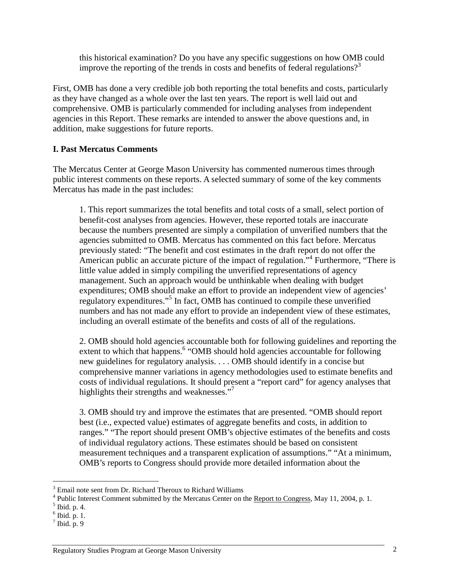this historical examination? Do you have any specific suggestions on how OMB could improve the reporting of the trends in costs and benefits of federal regulations?<sup>3</sup>

 First, OMB has done a very credible job both reporting the total benefits and costs, particularly as they have changed as a whole over the last ten years. The report is well laid out and comprehensive. OMB is particularly commended for including analyses from independent agencies in this Report. These remarks are intended to answer the above questions and, in addition, make suggestions for future reports.

# **I. Past Mercatus Comments**

 The Mercatus Center at George Mason University has commented numerous times through public interest comments on these reports. A selected summary of some of the key comments Mercatus has made in the past includes:

 1. This report summarizes the total benefits and total costs of a small, select portion of benefit-cost analyses from agencies. However, these reported totals are inaccurate because the numbers presented are simply a compilation of unverified numbers that the agencies submitted to OMB. Mercatus has commented on this fact before. Mercatus previously stated: "The benefit and cost estimates in the draft report do not offer the American public an accurate picture of the impact of regulation.<sup>"4</sup> Furthermore, "There is little value added in simply compiling the unverified representations of agency management. Such an approach would be unthinkable when dealing with budget expenditures; OMB should make an effort to provide an independent view of agencies' regulatory expenditures."<sup>5</sup> In fact, OMB has continued to compile these unverified numbers and has not made any effort to provide an independent view of these estimates, including an overall estimate of the benefits and costs of all of the regulations.

 2. OMB should hold agencies accountable both for following guidelines and reporting the extent to which that happens.<sup>6</sup> "OMB should hold agencies accountable for following new guidelines for regulatory analysis. . . . OMB should identify in a concise but comprehensive manner variations in agency methodologies used to estimate benefits and costs of individual regulations. It should present a "report card" for agency analyses that highlights their strengths and weaknesses."<sup>7</sup>

 3. OMB should try and improve the estimates that are presented. "OMB should report best (i.e., expected value) estimates of aggregate benefits and costs, in addition to ranges." "The report should present OMB's objective estimates of the benefits and costs of individual regulatory actions. These estimates should be based on consistent measurement techniques and a transparent explication of assumptions." "At a minimum, OMB's reports to Congress should provide more detailed information about the

<sup>-</sup> $3$  Email note sent from Dr. Richard Theroux to Richard Williams

<sup>&</sup>lt;sup>4</sup> Public Interest Comment submitted by the Mercatus Center on the <u>Report to Congress</u>, May 11, 2004, p. 1.  $5^5$  Ibid. p. 4.

Ibid. p. 4.

 $<sup>6</sup>$  Ibid. p. 1.</sup>

 $<sup>7</sup>$  Ibid. p. 9</sup>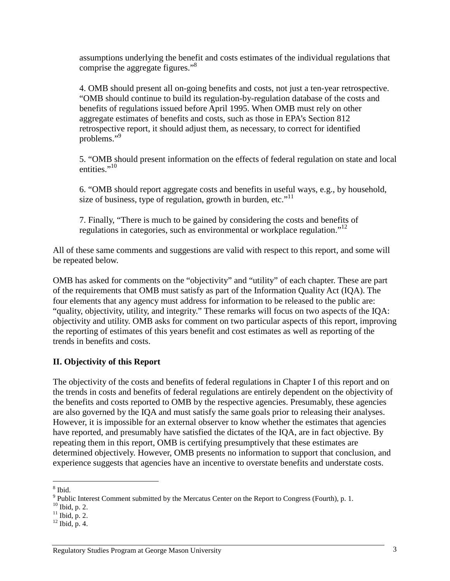assumptions underlying the benefit and costs estimates of the individual regulations that comprise the aggregate figures."<sup>8</sup>

 4. OMB should present all on-going benefits and costs, not just a ten-year retrospective. "OMB should continue to build its regulation-by-regulation database of the costs and benefits of regulations issued before April 1995. When OMB must rely on other aggregate estimates of benefits and costs, such as those in EPA's Section 812 retrospective report, it should adjust them, as necessary, to correct for identified problems."<sup>9</sup>

 5. "OMB should present information on the effects of federal regulation on state and local entities."<sup>10</sup>

 6. "OMB should report aggregate costs and benefits in useful ways, e.g., by household, size of business, type of regulation, growth in burden, etc."<sup>11</sup>

 7. Finally, "There is much to be gained by considering the costs and benefits of regulations in categories, such as environmental or workplace regulation."<sup>12</sup>

 All of these same comments and suggestions are valid with respect to this report, and some will be repeated below.

 OMB has asked for comments on the "objectivity" and "utility" of each chapter. These are part of the requirements that OMB must satisfy as part of the Information Quality Act (IQA). The four elements that any agency must address for information to be released to the public are: "quality, objectivity, utility, and integrity." These remarks will focus on two aspects of the IQA: objectivity and utility. OMB asks for comment on two particular aspects of this report, improving the reporting of estimates of this years benefit and cost estimates as well as reporting of the trends in benefits and costs.

# **II. Objectivity of this Report**

 The objectivity of the costs and benefits of federal regulations in Chapter I of this report and on the trends in costs and benefits of federal regulations are entirely dependent on the objectivity of the benefits and costs reported to OMB by the respective agencies. Presumably, these agencies are also governed by the IQA and must satisfy the same goals prior to releasing their analyses. However, it is impossible for an external observer to know whether the estimates that agencies have reported, and presumably have satisfied the dictates of the IQA, are in fact objective. By repeating them in this report, OMB is certifying presumptively that these estimates are determined objectively. However, OMB presents no information to support that conclusion, and experience suggests that agencies have an incentive to overstate benefits and understate costs.

<sup>-</sup> $8$  Ibid.

 $9$  Public Interest Comment submitted by the Mercatus Center on the Report to Congress (Fourth), p. 1.

 $10$  Ibid, p. 2.

 $\frac{10}{11}$  Ibid, p. 2.

 $\frac{11}{12}$  Ibid, p. 2.<br> $\frac{12}{12}$  Ibid, p. 4.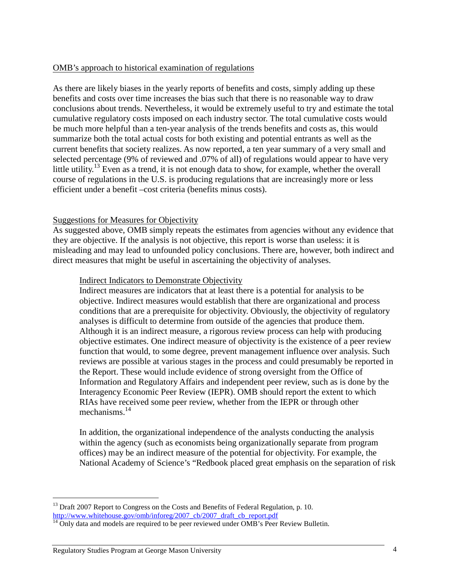#### OMB's approach to historical examination of regulations

 As there are likely biases in the yearly reports of benefits and costs, simply adding up these benefits and costs over time increases the bias such that there is no reasonable way to draw conclusions about trends. Nevertheless, it would be extremely useful to try and estimate the total cumulative regulatory costs imposed on each industry sector. The total cumulative costs would be much more helpful than a ten-year analysis of the trends benefits and costs as, this would summarize both the total actual costs for both existing and potential entrants as well as the current benefits that society realizes. As now reported, a ten year summary of a very small and selected percentage (9% of reviewed and .07% of all) of regulations would appear to have very little utility.<sup>13</sup> Even as a trend, it is not enough data to show, for example, whether the overall course of regulations in the U.S. is producing regulations that are increasingly more or less efficient under a benefit –cost criteria (benefits minus costs).

### **Suggestions for Measures for Objectivity**

 As suggested above, OMB simply repeats the estimates from agencies without any evidence that they are objective. If the analysis is not objective, this report is worse than useless: it is misleading and may lead to unfounded policy conclusions. There are, however, both indirect and direct measures that might be useful in ascertaining the objectivity of analyses.

#### Indirect Indicators to Demonstrate Objectivity

 Indirect measures are indicators that at least there is a potential for analysis to be objective. Indirect measures would establish that there are organizational and process conditions that are a prerequisite for objectivity. Obviously, the objectivity of regulatory analyses is difficult to determine from outside of the agencies that produce them. Although it is an indirect measure, a rigorous review process can help with producing objective estimates. One indirect measure of objectivity is the existence of a peer review function that would, to some degree, prevent management influence over analysis. Such reviews are possible at various stages in the process and could presumably be reported in the Report. These would include evidence of strong oversight from the Office of Information and Regulatory Affairs and independent peer review, such as is done by the Interagency Economic Peer Review (IEPR). OMB should report the extent to which RIAs have received some peer review, whether from the IEPR or through other mechanisms.<sup>14</sup>

 In addition, the organizational independence of the analysts conducting the analysis within the agency (such as economists being organizationally separate from program offices) may be an indirect measure of the potential for objectivity. For example, the National Academy of Science's "Redbook placed great emphasis on the separation of risk

<sup>-</sup><sup>13</sup> Draft 2007 Report to Congress on the Costs and Benefits of Federal Regulation, p. 10. http://www.whitehouse.gov/omb/inforeg/2007\_cb/2007\_draft\_cb\_report.pdf

 $14$  Only data and models are required to be peer reviewed under OMB's Peer Review Bulletin.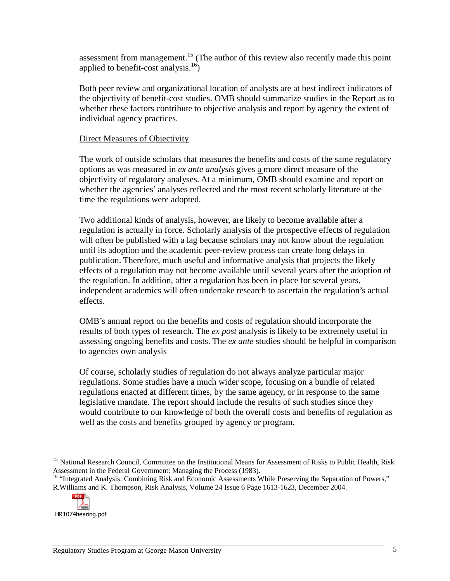assessment from management.<sup>15</sup> (The author of this review also recently made this point applied to benefit-cost analysis. $^{16}$ )

 Both peer review and organizational location of analysts are at best indirect indicators of the objectivity of benefit-cost studies. OMB should summarize studies in the Report as to whether these factors contribute to objective analysis and report by agency the extent of individual agency practices.

#### **Direct Measures of Objectivity**

 The work of outside scholars that measures the benefits and costs of the same regulatory options as was measured in *ex ante analysis* gives a more direct measure of the objectivity of regulatory analyses. At a minimum, OMB should examine and report on whether the agencies' analyses reflected and the most recent scholarly literature at the time the regulations were adopted.

 Two additional kinds of analysis, however, are likely to become available after a regulation is actually in force. Scholarly analysis of the prospective effects of regulation will often be published with a lag because scholars may not know about the regulation until its adoption and the academic peer-review process can create long delays in publication. Therefore, much useful and informative analysis that projects the likely effects of a regulation may not become available until several years after the adoption of the regulation. In addition, after a regulation has been in place for several years, independent academics will often undertake research to ascertain the regulation's actual effects.

effects.<br>OMB's annual report on the benefits and costs of regulation should incorporate the results of both types of research. The *ex post* analysis is likely to be extremely useful in assessing ongoing benefits and costs. The *ex ante* studies should be helpful in comparison to agencies own analysis

 Of course, scholarly studies of regulation do not always analyze particular major regulations. Some studies have a much wider scope, focusing on a bundle of related regulations enacted at different times, by the same agency, or in response to the same legislative mandate. The report should include the results of such studies since they would contribute to our knowledge of both the overall costs and benefits of regulation as well as the costs and benefits grouped by agency or program.

R.Williams and K. Thompson, Risk Analysis, Volume 24 Issue 6 Page 1613-1623, December 2004. Assessment in the Federal Government: Managing the Process (1983).<br><sup>16</sup> "Integrated Analysis: Combining Risk and Economic Assessments While Preserving the Separation of Powers,"



<sup>-</sup><sup>15</sup> National Research Council, Committee on the Institutional Means for Assessment of Risks to Public Health, Risk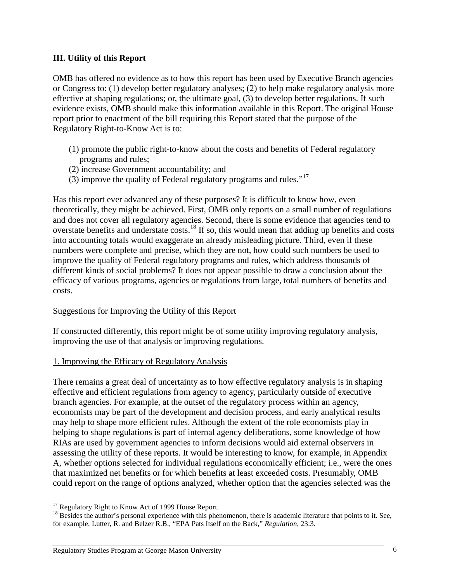### **III. Utility of this Report**

 OMB has offered no evidence as to how this report has been used by Executive Branch agencies or Congress to: (1) develop better regulatory analyses; (2) to help make regulatory analysis more effective at shaping regulations; or, the ultimate goal, (3) to develop better regulations. If such evidence exists, OMB should make this information available in this Report. The original House report prior to enactment of the bill requiring this Report stated that the purpose of the Regulatory Right-to-Know Act is to:

- (1) promote the public right-to-know about the costs and benefits of Federal regulatory programs and rules;
- (2) increase Government accountability; and
- (3) improve the quality of Federal regulatory programs and rules."<sup>17</sup>

 Has this report ever advanced any of these purposes? It is difficult to know how, even theoretically, they might be achieved. First, OMB only reports on a small number of regulations and does not cover all regulatory agencies. Second, there is some evidence that agencies tend to overstate benefits and understate costs.<sup>18</sup> If so, this would mean that adding up benefits and costs into accounting totals would exaggerate an already misleading picture. Third, even if these numbers were complete and precise, which they are not, how could such numbers be used to improve the quality of Federal regulatory programs and rules, which address thousands of different kinds of social problems? It does not appear possible to draw a conclusion about the efficacy of various programs, agencies or regulations from large, total numbers of benefits and costs.

# costs.<br><u>Suggestions for Improving the Utility of this Report</u>

 If constructed differently, this report might be of some utility improving regulatory analysis, improving the use of that analysis or improving regulations.

# 1. Improving the Efficacy of Regulatory Analysis

 There remains a great deal of uncertainty as to how effective regulatory analysis is in shaping effective and efficient regulations from agency to agency, particularly outside of executive branch agencies. For example, at the outset of the regulatory process within an agency, economists may be part of the development and decision process, and early analytical results may help to shape more efficient rules. Although the extent of the role economists play in helping to shape regulations is part of internal agency deliberations, some knowledge of how RIAs are used by government agencies to inform decisions would aid external observers in assessing the utility of these reports. It would be interesting to know, for example, in Appendix A, whether options selected for individual regulations economically efficient; i.e., were the ones that maximized net benefits or for which benefits at least exceeded costs. Presumably, OMB could report on the range of options analyzed, whether option that the agencies selected was the

<sup>-</sup><sup>17</sup> Regulatory Right to Know Act of 1999 House Report.

<sup>&</sup>lt;sup>1/</sup> Regulatory Right to Know Act of 1999 House Report.<br><sup>18</sup> Besides the author's personal experience with this phenomenon, there is academic literature that points to it. See, for example, Lutter, R. and Belzer R.B., "EPA Pats Itself on the Back," *Regulation*, 23:3.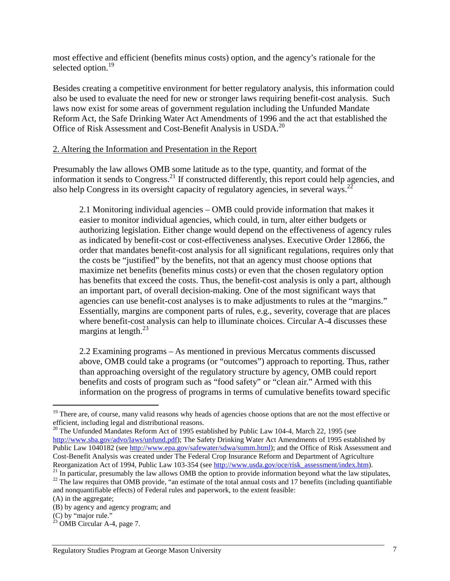most effective and efficient (benefits minus costs) option, and the agency's rationale for the selected option.<sup>19</sup>

 Besides creating a competitive environment for better regulatory analysis, this information could also be used to evaluate the need for new or stronger laws requiring benefit-cost analysis. Such laws now exist for some areas of government regulation including the Unfunded Mandate Reform Act, the Safe Drinking Water Act Amendments of 1996 and the act that established the Office of Risk Assessment and Cost-Benefit Analysis in USDA.<sup>20</sup>

#### 2. Altering the Information and Presentation in the Report

 Presumably the law allows OMB some latitude as to the type, quantity, and format of the information it sends to Congress.<sup>21</sup> If constructed differently, this report could help agencies, and also help Congress in its oversight capacity of regulatory agencies, in several ways.<sup>22</sup>

 2.1 Monitoring individual agencies – OMB could provide information that makes it easier to monitor individual agencies, which could, in turn, alter either budgets or authorizing legislation. Either change would depend on the effectiveness of agency rules as indicated by benefit-cost or cost-effectiveness analyses. Executive Order 12866, the order that mandates benefit-cost analysis for all significant regulations, requires only that the costs be "justified" by the benefits, not that an agency must choose options that maximize net benefits (benefits minus costs) or even that the chosen regulatory option has benefits that exceed the costs. Thus, the benefit-cost analysis is only a part, although an important part, of overall decision-making. One of the most significant ways that agencies can use benefit-cost analyses is to make adjustments to rules at the "margins." Essentially, margins are component parts of rules, e.g., severity, coverage that are places where benefit-cost analysis can help to illuminate choices. Circular A-4 discusses these margins at length.<sup>23</sup>

 2.2 Examining programs – As mentioned in previous Mercatus comments discussed above, OMB could take a programs (or "outcomes") approach to reporting. Thus, rather than approaching oversight of the regulatory structure by agency, OMB could report benefits and costs of program such as "food safety" or "clean air." Armed with this information on the progress of programs in terms of cumulative benefits toward specific

<sup>-</sup> $19$  There are, of course, many valid reasons why heads of agencies choose options that are not the most effective or efficient, including legal and distributional reasons.

 http://www.sba.gov/advo/laws/unfund.pdf); The Safety Drinking Water Act Amendments of 1995 established by Public Law 1040182 (see http://www.epa.gov/safewater/sdwa/summ.html); and the Office of Risk Assessment and Cost-Benefit Analysis was created under The Federal Crop Insurance Reform and Department of Agriculture Reorganization Act of 1994, Public Law 103-354 (see http://www.usda.gov/oce/risk assessment/index.htm).  $20$  The Unfunded Mandates Reform Act of 1995 established by Public Law 104-4, March 22, 1995 (see

 $^{21}$  In particular, presumably the law allows OMB the option to provide information beyond what the law stipulates, and nonquantifiable effects) of Federal rules and paperwork, to the extent feasible: <sup>22</sup> The law requires that OMB provide, "an estimate of the total annual costs and 17 benefits (including quantifiable

 (A) in the aggregate;

 (B) by agency and agency program; and

 $(C)$  by "major rule."

<sup>(</sup>C) by "major rule."<br> $^{23}$  OMB Circular A-4, page 7.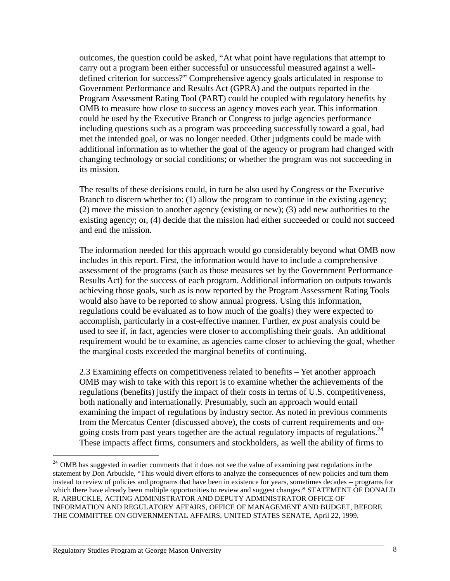outcomes, the question could be asked, "At what point have regulations that attempt to carry out a program been either successful or unsuccessful measured against a well- defined criterion for success?" Comprehensive agency goals articulated in response to Government Performance and Results Act (GPRA) and the outputs reported in the Program Assessment Rating Tool (PART) could be coupled with regulatory benefits by OMB to measure how close to success an agency moves each year. This information could be used by the Executive Branch or Congress to judge agencies performance including questions such as a program was proceeding successfully toward a goal, had met the intended goal, or was no longer needed. Other judgments could be made with additional information as to whether the goal of the agency or program had changed with changing technology or social conditions; or whether the program was not succeeding in its mission.

 The results of these decisions could, in turn be also used by Congress or the Executive Branch to discern whether to: (1) allow the program to continue in the existing agency; (2) move the mission to another agency (existing or new); (3) add new authorities to the existing agency; or, (4) decide that the mission had either succeeded or could not succeed and end the mission.

 The information needed for this approach would go considerably beyond what OMB now includes in this report. First, the information would have to include a comprehensive assessment of the programs (such as those measures set by the Government Performance Results Act) for the success of each program. Additional information on outputs towards achieving those goals, such as is now reported by the Program Assessment Rating Tools would also have to be reported to show annual progress. Using this information, regulations could be evaluated as to how much of the goal(s) they were expected to accomplish, particularly in a cost-effective manner. Further, *ex post* analysis could be used to see if, in fact, agencies were closer to accomplishing their goals. An additional requirement would be to examine, as agencies came closer to achieving the goal, whether the marginal costs exceeded the marginal benefits of continuing.

 2.3 Examining effects on competitiveness related to benefits – Yet another approach OMB may wish to take with this report is to examine whether the achievements of the regulations (benefits) justify the impact of their costs in terms of U.S. competitiveness, both nationally and internationally. Presumably, such an approach would entail examining the impact of regulations by industry sector. As noted in previous comments from the Mercatus Center (discussed above), the costs of current requirements and ongoing costs from past years together are the actual regulatory impacts of regulations.<sup>24</sup> These impacts affect firms, consumers and stockholders, as well the ability of firms to

-

 statement by Don Arbuckle, "This would divert efforts to analyze the consequences of new policies and turn them instead to review of policies and programs that have been in existence for years, sometimes decades -- programs for which there have already been multiple opportunities to review and suggest changes.**"** STATEMENT OF DONALD R. ARBUCKLE, ACTING ADMINISTRATOR AND DEPUTY ADMINISTRATOR OFFICE OF INFORMATION AND REGULATORY AFFAIRS, OFFICE OF MANAGEMENT AND BUDGET, BEFORE THE COMMITTEE ON GOVERNMENTAL AFFAIRS, UNITED STATES SENATE, April 22, 1999. <sup>24</sup> OMB has suggested in earlier comments that it does not see the value of examining past regulations in the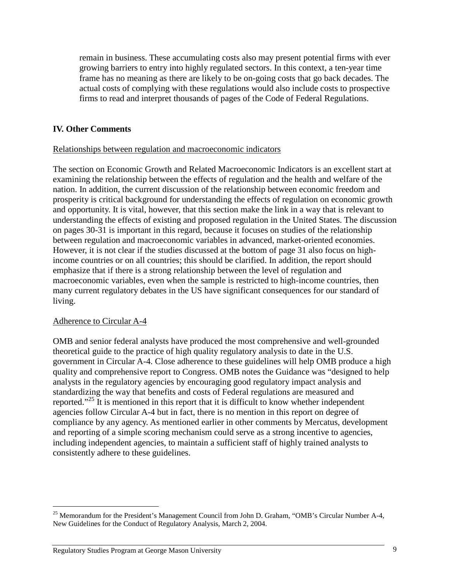remain in business. These accumulating costs also may present potential firms with ever growing barriers to entry into highly regulated sectors. In this context, a ten-year time frame has no meaning as there are likely to be on-going costs that go back decades. The actual costs of complying with these regulations would also include costs to prospective firms to read and interpret thousands of pages of the Code of Federal Regulations.

# **IV. Other Comments**

### Relationships between regulation and macroeconomic indicators

 The section on Economic Growth and Related Macroeconomic Indicators is an excellent start at examining the relationship between the effects of regulation and the health and welfare of the nation. In addition, the current discussion of the relationship between economic freedom and prosperity is critical background for understanding the effects of regulation on economic growth and opportunity. It is vital, however, that this section make the link in a way that is relevant to understanding the effects of existing and proposed regulation in the United States. The discussion on pages 30-31 is important in this regard, because it focuses on studies of the relationship between regulation and macroeconomic variables in advanced, market-oriented economies. However, it is not clear if the studies discussed at the bottom of page 31 also focus on high- income countries or on all countries; this should be clarified. In addition, the report should emphasize that if there is a strong relationship between the level of regulation and macroeconomic variables, even when the sample is restricted to high-income countries, then many current regulatory debates in the US have significant consequences for our standard of living.

# living.<br><u>Adherence to Circular A-4</u>

 OMB and senior federal analysts have produced the most comprehensive and well-grounded theoretical guide to the practice of high quality regulatory analysis to date in the U.S. government in Circular A-4. Close adherence to these guidelines will help OMB produce a high quality and comprehensive report to Congress. OMB notes the Guidance was "designed to help analysts in the regulatory agencies by encouraging good regulatory impact analysis and standardizing the way that benefits and costs of Federal regulations are measured and reported."<sup>25</sup> It is mentioned in this report that it is difficult to know whether independent agencies follow Circular A-4 but in fact, there is no mention in this report on degree of compliance by any agency. As mentioned earlier in other comments by Mercatus, development and reporting of a simple scoring mechanism could serve as a strong incentive to agencies, including independent agencies, to maintain a sufficient staff of highly trained analysts to consistently adhere to these guidelines.

<sup>-</sup> New Guidelines for the Conduct of Regulatory Analysis, March 2, 2004. <sup>25</sup> Memorandum for the President's Management Council from John D. Graham, "OMB's Circular Number A-4,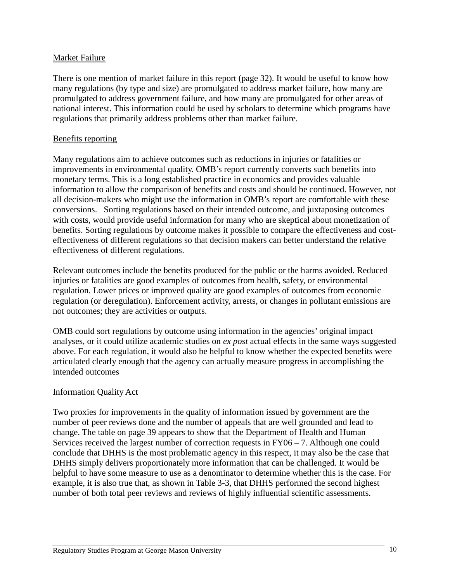#### Market Failure

 There is one mention of market failure in this report (page 32). It would be useful to know how many regulations (by type and size) are promulgated to address market failure, how many are promulgated to address government failure, and how many are promulgated for other areas of national interest. This information could be used by scholars to determine which programs have regulations that primarily address problems other than market failure.

#### Benefits reporting

 Many regulations aim to achieve outcomes such as reductions in injuries or fatalities or improvements in environmental quality. OMB's report currently converts such benefits into monetary terms. This is a long established practice in economics and provides valuable information to allow the comparison of benefits and costs and should be continued. However, not all decision-makers who might use the information in OMB's report are comfortable with these conversions. Sorting regulations based on their intended outcome, and juxtaposing outcomes with costs, would provide useful information for many who are skeptical about monetization of benefits. Sorting regulations by outcome makes it possible to compare the effectiveness and cost- effectiveness of different regulations so that decision makers can better understand the relative effectiveness of different regulations.

 Relevant outcomes include the benefits produced for the public or the harms avoided. Reduced injuries or fatalities are good examples of outcomes from health, safety, or environmental regulation. Lower prices or improved quality are good examples of outcomes from economic regulation (or deregulation). Enforcement activity, arrests, or changes in pollutant emissions are not outcomes; they are activities or outputs.

 OMB could sort regulations by outcome using information in the agencies' original impact analyses, or it could utilize academic studies on *ex post* actual effects in the same ways suggested above. For each regulation, it would also be helpful to know whether the expected benefits were articulated clearly enough that the agency can actually measure progress in accomplishing the intended outcomes

#### Information Quality Act

 Two proxies for improvements in the quality of information issued by government are the number of peer reviews done and the number of appeals that are well grounded and lead to change. The table on page 39 appears to show that the Department of Health and Human Services received the largest number of correction requests in FY06 – 7. Although one could conclude that DHHS is the most problematic agency in this respect, it may also be the case that DHHS simply delivers proportionately more information that can be challenged. It would be helpful to have some measure to use as a denominator to determine whether this is the case. For example, it is also true that, as shown in Table 3-3, that DHHS performed the second highest number of both total peer reviews and reviews of highly influential scientific assessments.